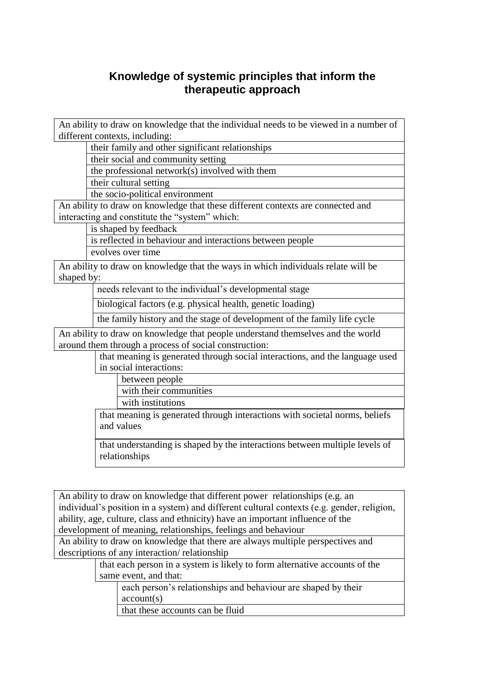## **Knowledge of systemic principles that inform the therapeutic approach**

An ability to draw on knowledge that the individual needs to be viewed in a number of different contexts, including:

their family and other significant relationships

their social and community setting

the professional network(s) involved with them

their cultural setting

the socio-political environment

An ability to draw on knowledge that these different contexts are connected and interacting and constitute the "system" which:

is shaped by feedback

is reflected in behaviour and interactions between people evolves over time

An ability to draw on knowledge that the ways in which individuals relate will be shaped by:

needs relevant to the individual's developmental stage

biological factors (e.g. physical health, genetic loading)

the family history and the stage of development of the family life cycle

An ability to draw on knowledge that people understand themselves and the world around them through a process of social construction:

> that meaning is generated through social interactions, and the language used in social interactions:

between people

with their communities

with institutions

that meaning is generated through interactions with societal norms, beliefs and values

that understanding is shaped by the interactions between multiple levels of relationships

An ability to draw on knowledge that different power relationships (e.g. an individual's position in a system) and different cultural contexts (e.g. gender, religion, ability, age, culture, class and ethnicity) have an important influence of the development of meaning, relationships, feelings and behaviour

An ability to draw on knowledge that there are always multiple perspectives and descriptions of any interaction/ relationship

> that each person in a system is likely to form alternative accounts of the same event, and that:

each person's relationships and behaviour are shaped by their account(s)

that these accounts can be fluid